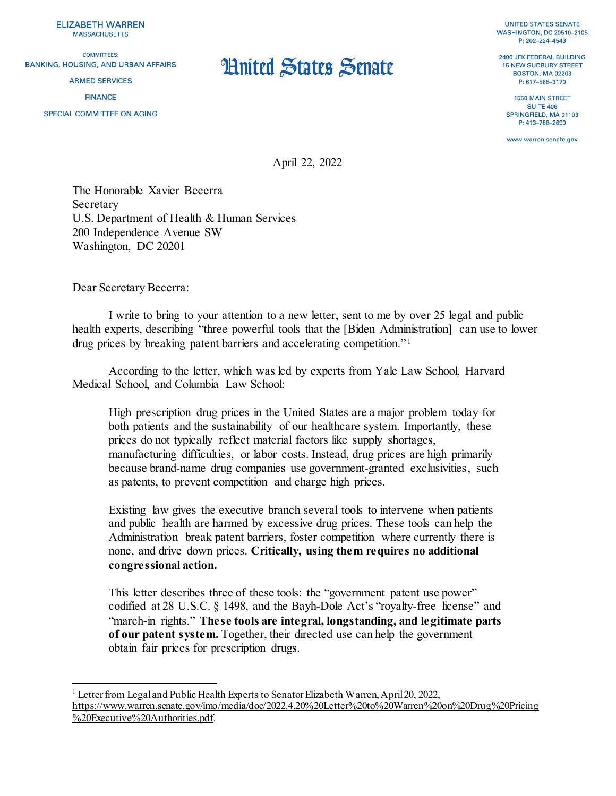**ELIZABETH WARREN MASSACHUSETTS** 

COMMITTEES: **BANKING, HOUSING, AND URBAN AFFAIRS** 

**ARMED SERVICES** 

**FINANCE** 

SPECIAL COMMITTEE ON AGING

**UNITED STATES SENATE WASHINGTON, DC 20510-2105** P: 202-224-4543

2400 JFK FEDERAL BUILDING 15 NEW SUDBURY STREET **BOSTON, MA 02203** P: 617-565-3170

**1550 MAIN STREET SUITE 406** SPRINGFIELD, MA 01103 P: 413-788-2690

www.warren.senate.gov

April 22, 2022

**Hnited States Senate** 

The Honorable Xavier Becerra Secretary U.S. Department of Health & Human Services 200 Independence Avenue SW Washington, DC 20201

Dear Secretary Becerra:

I write to bring to your attention to a new letter, sent to me by over 25 legal and public health experts, describing "three powerful tools that the [Biden Administration] can use to lower drug prices by breaking patent barriers and accelerating competition." [1](#page-0-0)

According to the letter, which was led by experts from Yale Law School, Harvard Medical School, and Columbia Law School:

High prescription drug prices in the United States are a major problem today for both patients and the sustainability of our healthcare system. Importantly, these prices do not typically reflect material factors like supply shortages, manufacturing difficulties, or labor costs. Instead, drug prices are high primarily because brand-name drug companies use government-granted exclusivities, such as patents, to prevent competition and charge high prices.

Existing law gives the executive branch several tools to intervene when patients and public health are harmed by excessive drug prices. These tools can help the Administration break patent barriers, foster competition where currently there is none, and drive down prices. **Critically, using them requires no additional congressional action.**

This letter describes three of these tools: the "government patent use power" codified at 28 U.S.C. § 1498, and the Bayh-Dole Act's "royalty-free license" and "march-in rights." **These tools are integral, longstanding, and legitimate parts of our patent system.** Together, their directed use can help the government obtain fair prices for prescription drugs.

<span id="page-0-0"></span><sup>&</sup>lt;sup>1</sup> Letter from Legal and Public Health Experts to Senator Elizabeth Warren, April 20, 2022, [https://www.warren.senate.gov/imo/media/doc/2022.4.20%20Letter%20to%20Warren%20on%20Drug%20Pricing](https://www.warren.senate.gov/imo/media/doc/2022.4.20%20Letter%20to%20Warren%20on%20Drug%20Pricing%20Executive%20Authorities.pdf) [%20Executive%20Authorities.pdf](https://www.warren.senate.gov/imo/media/doc/2022.4.20%20Letter%20to%20Warren%20on%20Drug%20Pricing%20Executive%20Authorities.pdf).